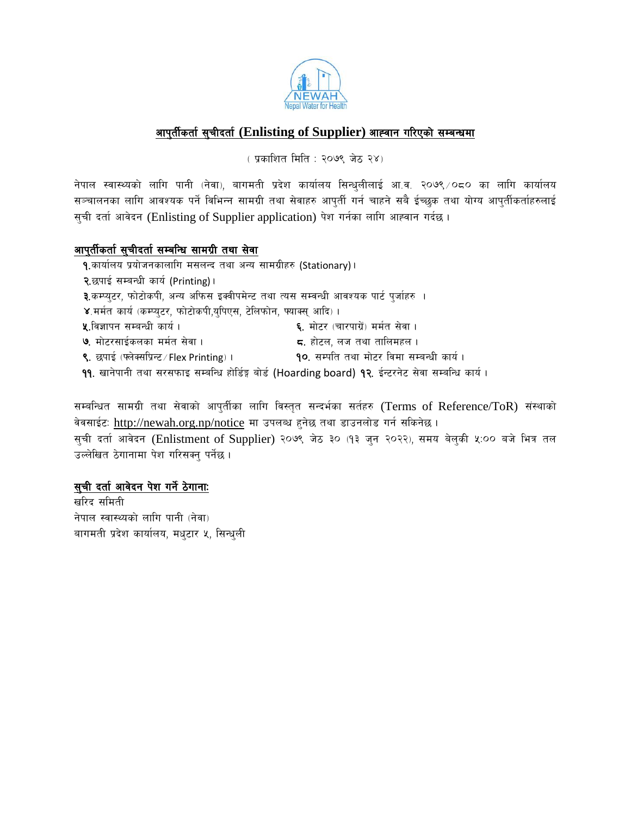

### आपुर्तीकर्ता सुचीदर्ता (Enlisting of Supplier) आह्वान गरिएको सम्बन्धमा

( प्रकाशित मिति : २०७९ जेठ २४)

नेपाल स्वास्थ्यको लागि पानी (नेवा), बागमती प्रदेश कार्यालय सिन्धुलीलाई आ.व. २०७९ /०८० का लागि कार्यालय सञ्चालनका लागि आवश्यक पर्ने विभिन्न सामग्री तथा सेवाहरु आपुर्ती गर्न चाहने सबै ईच्छक तथा योग्य आपुर्तीकर्ताहरुलाई सूची दर्ता आवेदन (Enlisting of Supplier application) पेश गर्नका लागि आह्वान गर्दछ।

#### आपुर्तीकर्ता सुचीदर्ता सम्बन्धि सामग्री तथा सेवा

- १.कार्यालय प्रयोजनकालागि मसलन्द तथा अन्य सामग्रीहरु (Stationary)।
- २.छपाई सम्बन्धी कार्य (Printing)।
- ३.कम्प्यूटर, फोटोकपी, अन्य अफिस इक्वीपमेन्ट तथा त्यस सम्वन्धी आवश्यक पार्ट पूर्जाहरु ।
- ४.मर्मत कार्य (कम्प्युटर, फोटोकपी,युपिएस, टेलिफोन, फ्याक्स् आदि)।
- **५.**विज्ञापन सम्बन्धी कार्य। ६. मोटर (चारपाग्रें) मर्मत सेवा ।
- ७. मोटरसाईकलका मर्मत सेवा।
- **द.** होटल. लज तथा तालिमहल ।
- ९. छपाई (फ्लेक्सप्रिन्ट / Flex Printing)। 90. सम्पति तथा मोटर विमा सम्बन्धी कार्य।
- ११. खानेपानी तथा सरसफाइ सम्बन्धि होर्डिङ्ग बोर्ड (Hoarding board) १२. ईन्टरनेट सेवा सम्बन्धि कार्य ।

सम्बन्धित सामग्री तथा सेवाको आपुर्तीका लागि विस्तृत सन्दर्भका सर्तहरु (Terms of Reference/ToR) संस्थाको वेवसाईटः http://newah.org.np/notice मा उपलब्ध हुनेछ तथा डाउनलोड गर्न सकिनेछ ।

सुची दर्ता आवेदन (Enlistment of Supplier) २०७९ जेठ ३० (१३ जुन २०२२), समय बेलुकी ५:०० बजे भित्र तल उल्लेखित ठेगानामा पेश गरिसक्न पर्नेछ।

#### <u>सुची दर्ता आवेदन पेश गर्ने ठेगानाः</u>

खरिद समिती नेपाल स्वास्थ्यको लागि पानी (नेवा) बागमती प्रदेश कार्यालय, मधुटार ५, सिन्धुली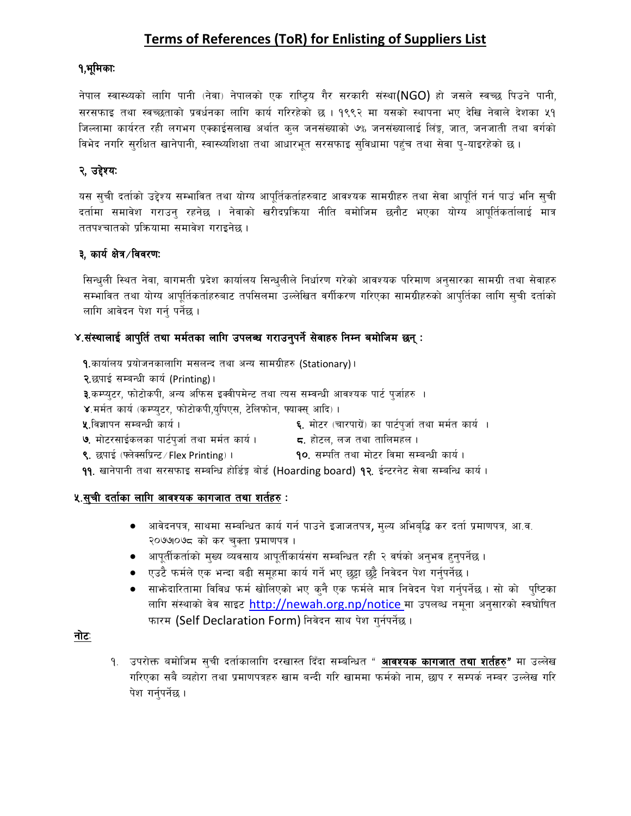# Terms of References (ToR) for Enlisting of Suppliers List

#### १,भूमिकाः

नेपाल स्वास्थ्यको लागि पानी (नेवा) नेपालको एक राष्ट्रिय गैर सरकारी संस्था(NGO) हो जसले स्वच्छ पिउने पानी, सरसफाइ तथा स्वच्छताको प्रवर्धनका लागि कार्य गरिरहेको छ । १९९२ मा यसको स्थापना भए देखि नेवाले देशका ५१ जिल्लामा कार्यरत रही लगभग एक्काईसलाख अर्थात कुल जनसंख्याको ७% जनसंख्यालाई लिंङ्ग, जात, जनजाती तथा वर्गको विभेद नगरि सुरक्षित खानेपानी, स्वास्थ्यशिक्षा तथा आधारभूत सरसफाइ सुविधामा पहुंच तथा सेवा प्-याइरहेको छ ।

## २, उद्देश्यः

यस सूची दर्ताको उद्देश्य सम्भावित तथा योग्य आपूर्तिकर्ताहरुबाट आवश्यक सामग्रीहरु तथा सेवा आपूर्ति गर्न पाउं भनि सूची दर्तामा समावेश गराउन् रहनेछ । नेवाको खरीदप्रक्रिया नीति बमोजिम छनौट भएका योग्य आपूर्तिकर्तालाई मात्र ततपश्चातको प्रक्रियामा समावेश गराइनेछ।

### ३, कार्य क्षेत्र ∕विवरण:

सिन्धुली स्थित नेवा, बागमती प्रदेश कार्यालय सिन्धुलीले निर्धारण गरेको आवश्यक परिमाण अनुसारका सामग्री तथा सेवाहरु सम्भावित तथा योग्य आपूर्तिकर्ताहरुबाट तपसिलमा उल्लेखित वर्गीकरण गरिएका सामग्रीहरुको आपूर्तिका लागि सूची दर्ताको लागि आवेदन पेश गर्न् पर्नेछ ।

#### ४.संस्थालाई आपुर्ति तथा मर्मतका लागि उपलब्ध गराउनुपर्ने सेवाहरु निम्न बमोजिम छन् :

१.कार्यालय प्रयोजनकालागि मसलन्द तथा अन्य सामग्रीहरु (Stationary)।

२.छपाई सम्बन्धी कार्य (Printing)।

३.कम्प्यूटर, फोटोकपी, अन्य अफिस इक्वीपमेन्ट तथा त्यस सम्बन्धी आवश्यक पार्ट पूर्जाहरु ।

४.मर्मत कार्य (कम्प्युटर, फोटोकपी,युपिएस, टेलिफोन, फ्याक्स् आदि)।

**५.**विज्ञापन सम्बन्धी कार्य।

- ६. मोटर (चारपाग्रें) का पार्टपूर्जा तथा मर्मत कार्य ।
- ७. मोटरसाईकलका पार्टपुर्जा तथा मर्मत कार्य । ज्यादा होटल, लज तथा तालिमहल ।<br>प्राणिक कार्य परिवार
- ९. छपाई (फ्लेक्सप्रिन्ट ⁄ Flex Printing) ।
- 90. सम्पति तथा मोटर विमा सम्बन्धी कार्य ।
- ११. खानेपानी तथा सरसफाइ सम्बन्धि होर्डिङ्ग बोर्ड (Hoarding board) १२. ईन्टरनेट सेवा सम्बन्धि कार्य।

#### ५.सुची दर्ताका लागि आवश्यक कागजात तथा शर्तहरु :

- अावेदनपत्र, साथमा सम्बन्धित कार्य गर्न पाउने इजाजतपत्र, मुल्य अभिबृद्धि कर दर्ता प्रमाणपत्र, आ.व. २०७७०७८ को कर चुक्ता प्रमाणपत्र ।
- आपूर्तीकर्ताको मुख्य व्यवसाय आपूर्तीकार्यसंग सम्बन्धित रही २ वर्षको अनुभव हुनुपर्नेछ ।
- एउटै फर्मले एक भन्दा बढी समूहमा कार्य गर्ने भए छट्टा छट्टै निवेदन पेश गर्नुपर्नेछ ।
- साभ्रेदारितामा विविध फर्म खोलिएको भए क्नै एक फर्मले मात्र निवेदन पेश गर्नुपर्नेछ । सो को पुष्टिका लागि संस्थाको वेव साइट http://newah.org.np/notice मा उपलब्ध नमूना अनुसारको स्वघोषित फारम (Self Declaration Form) निवेदन साथ पेश गुर्नपर्नेछ ।

#### नोटः

१. उपरोक्त बमोजिम सूची दर्ताकालागि दरखास्त दिँदा सम्बन्धित " **आवश्यक कागजात तथा शर्तहरु"** मा उल्लेख गरिएका सबै व्यहोरा तथा प्रमाणपत्रहरु खाम बन्दी गरि खाममा फर्मको नाम, छाप र सम्पर्क नम्बर उल्लेख गरि पेश गर्नुपर्नेछ।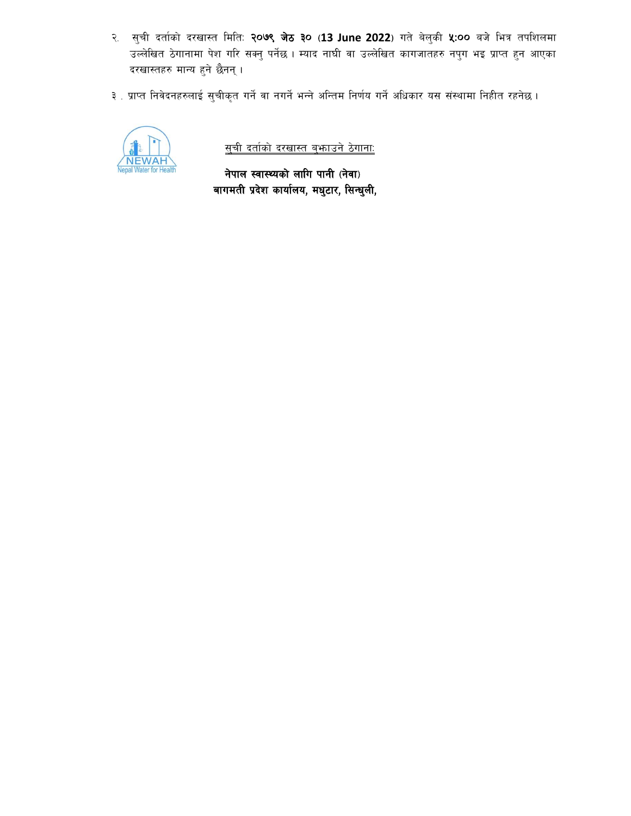- २. सुची दर्ताको दरखास्त मिति: २०७९ जेठ ३० (13 June 2022) गते बेलुकी ५:०० बजे भित्र तपशिलमा उल्लेखित ठेगानामा पेश गरि सक्नु पर्नेछ । म्याद नाघी वा उल्लेखित कागजातहरु नपुग भइ प्राप्त हुन आएका दरखास्तहरु मान्य हुने छैनन् ।
- ३ . प्राप्त निवेदनहरुलाई सुचीकृत गर्ने वा नगर्ने भन्ने अन्तिम निर्णय गर्ने अधिकार यस संस्थामा निहीत रहनेछ ।



<u>सची दर्ताको दरखास्त बुफाउने ठेगानाः</u>

नेपाल स्वास्थ्यको लागि पानी (नेवा) बागमती प्रदेश कार्यालय, मधुटार, सिन्धुली,